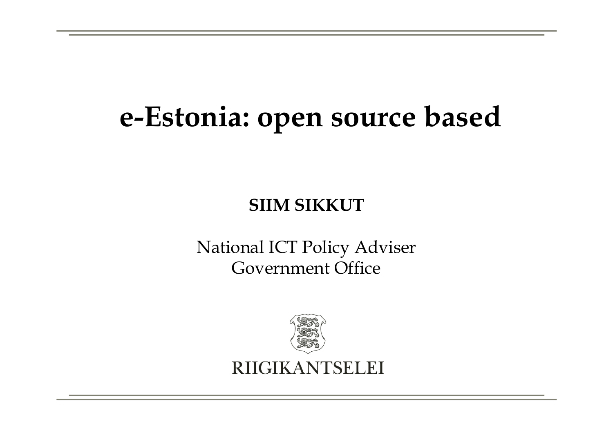### e-Estonia: open source based

#### SIIM SIKKUT

National ICT Policy AdviserGovernment Office

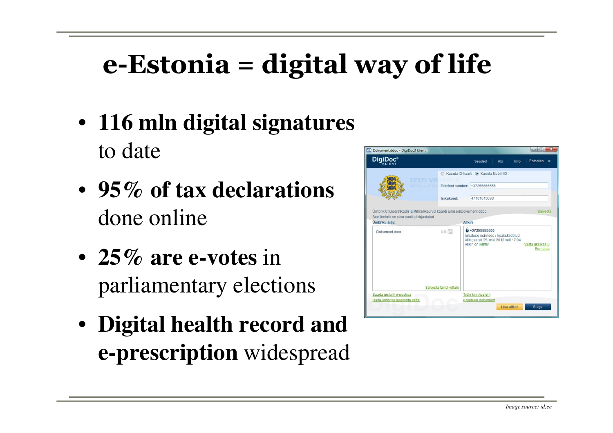### e-Estonia = digital way of life

- **116 mln digital signatures**  to date
- **95% of tax declarations**  done online
- **25% are e-votes** in parliamentary elections
- **Digital health record and e-prescription** widespread

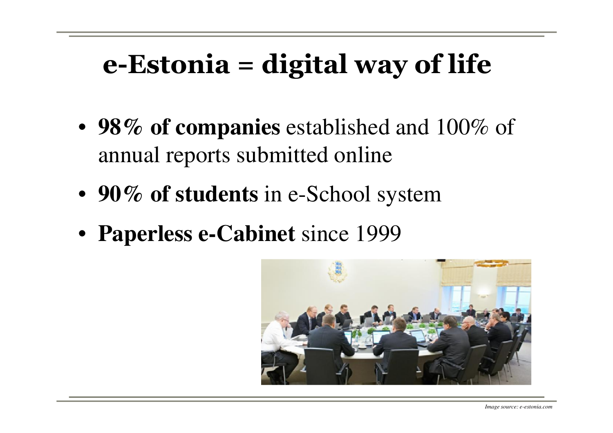### e-Estonia = digital way of life

- **98% of companies** established and 100% of annual reports submitted online
- **90% of students** in e-School system
- **Paperless e-Cabinet** since 1999

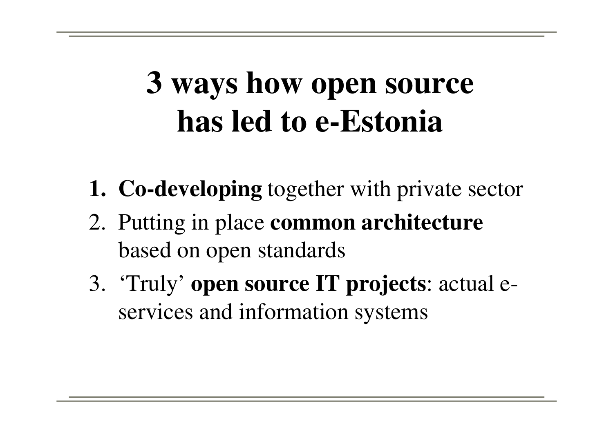## **3 ways how open source has led to e-Estonia**

- **1. Co-developing** together with private sector
- 2. Putting in place **common architecture**  based on open standards
- 3. 'Truly' **open source IT projects**: actual eservices and information systems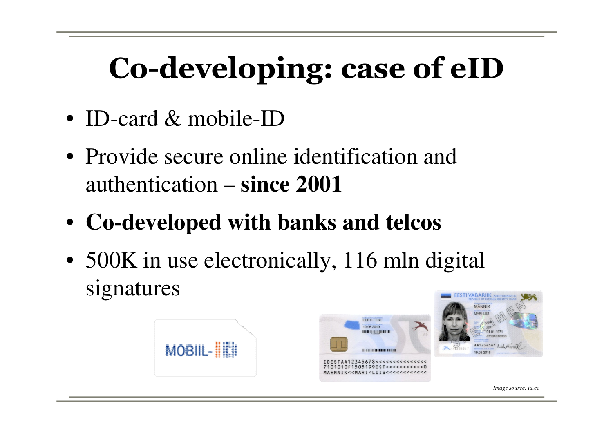## Co-developing: case of eID

- ID-card & mobile-ID
- Provide secure online identification and authentication – **since 2001**
- **Co-developed with banks and telcos**
- 500K in use electronically, 116 mln digital signatures









*Image source: id.ee*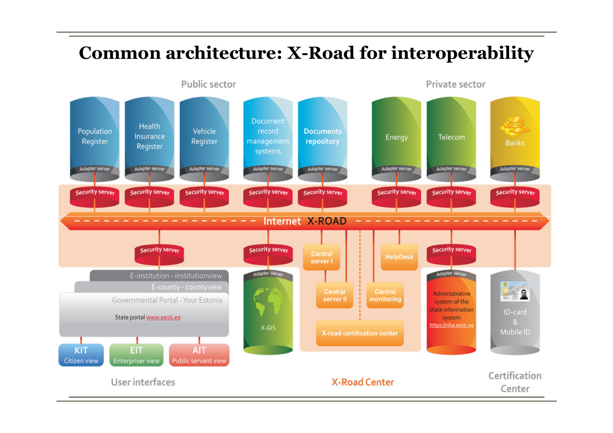#### Common architecture: X-Road for interoperability

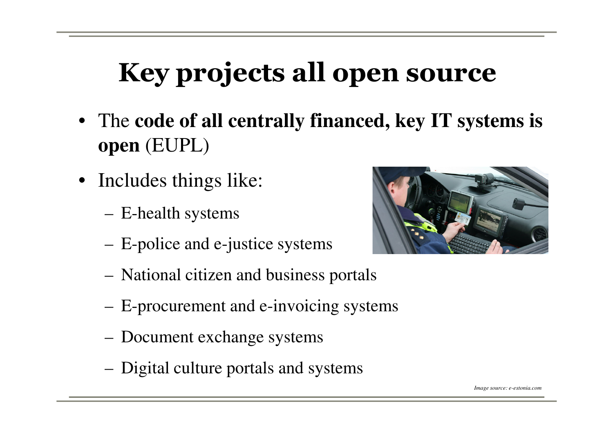### Key projects all open source

- The **code of all centrally financed, key IT systems is open** (EUPL)
- Includes things like:
	- –E-health systems
	- –E-police and e-justice systems
	- –National citizen and business portals
	- E-procurement and e-invoicing systems
	- Document exchange systems
	- –Digital culture portals and systems

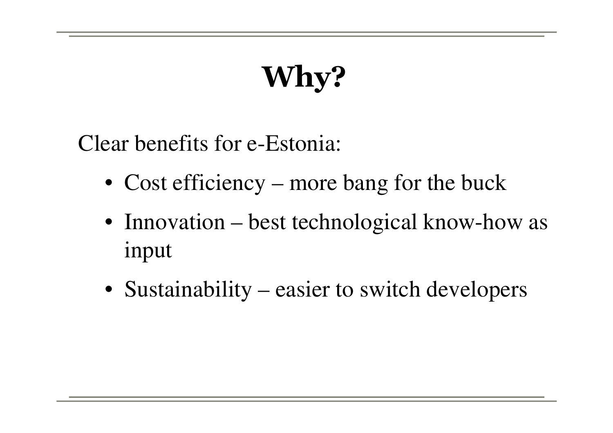# Why?

Clear benefits for e-Estonia:

- Cost efficiency more bang for the buck
- Innovation best technological know-how as input
- Sustainability easier to switch developers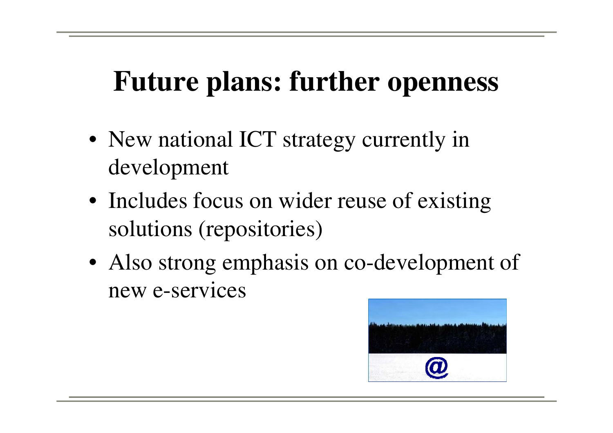### **Future plans: further openness**

- New national ICT strategy currently in development
- Includes focus on wider reuse of existing solutions (repositories)
- Also strong emphasis on co-development of new e-services